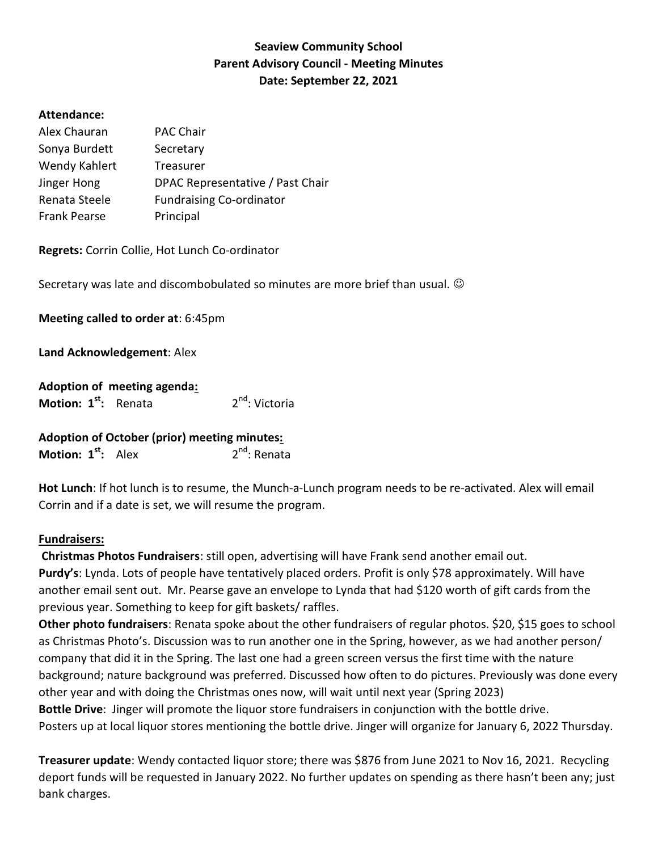## Seaview Community School Parent Advisory Council - Meeting Minutes Date: September 22, 2021

## Attendance:

| Alex Chauran        | <b>PAC Chair</b>                 |
|---------------------|----------------------------------|
| Sonya Burdett       | Secretary                        |
| Wendy Kahlert       | <b>Treasurer</b>                 |
| Jinger Hong         | DPAC Representative / Past Chair |
| Renata Steele       | <b>Fundraising Co-ordinator</b>  |
| <b>Frank Pearse</b> | Principal                        |

Regrets: Corrin Collie, Hot Lunch Co-ordinator

Secretary was late and discombobulated so minutes are more brief than usual.

Meeting called to order at: 6:45pm

Land Acknowledgement: Alex

|                                  | Adoption of meeting agenda: |                            |
|----------------------------------|-----------------------------|----------------------------|
| Motion: 1 <sup>st</sup> : Renata |                             | 2 <sup>nd</sup> : Victoria |

| <b>Adoption of October (prior) meeting minutes:</b> |  |                          |  |
|-----------------------------------------------------|--|--------------------------|--|
| Motion: 1 <sup>st</sup> : Alex                      |  | 2 <sup>nd</sup> : Renata |  |

Hot Lunch: If hot lunch is to resume, the Munch-a-Lunch program needs to be re-activated. Alex will email Corrin and if a date is set, we will resume the program.

## Fundraisers:

Christmas Photos Fundraisers: still open, advertising will have Frank send another email out. Purdy's: Lynda. Lots of people have tentatively placed orders. Profit is only \$78 approximately. Will have another email sent out. Mr. Pearse gave an envelope to Lynda that had \$120 worth of gift cards from the previous year. Something to keep for gift baskets/ raffles.

Other photo fundraisers: Renata spoke about the other fundraisers of regular photos. \$20, \$15 goes to school as Christmas Photo's. Discussion was to run another one in the Spring, however, as we had another person/ company that did it in the Spring. The last one had a green screen versus the first time with the nature background; nature background was preferred. Discussed how often to do pictures. Previously was done every other year and with doing the Christmas ones now, will wait until next year (Spring 2023) Bottle Drive: Jinger will promote the liquor store fundraisers in conjunction with the bottle drive. Posters up at local liquor stores mentioning the bottle drive. Jinger will organize for January 6, 2022 Thursday.

Treasurer update: Wendy contacted liquor store; there was \$876 from June 2021 to Nov 16, 2021. Recycling deport funds will be requested in January 2022. No further updates on spending as there hasn't been any; just bank charges.